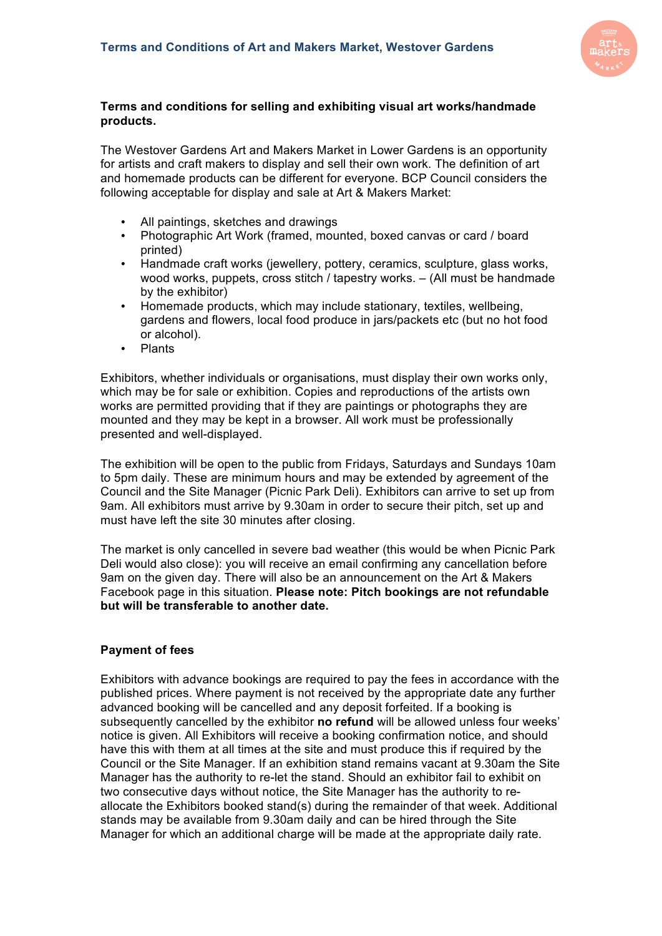

## **Terms and conditions for selling and exhibiting visual art works/handmade products.**

The Westover Gardens Art and Makers Market in Lower Gardens is an opportunity for artists and craft makers to display and sell their own work. The definition of art and homemade products can be different for everyone. BCP Council considers the following acceptable for display and sale at Art & Makers Market:

- All paintings, sketches and drawings
- Photographic Art Work (framed, mounted, boxed canvas or card / board printed)
- Handmade craft works (jewellery, pottery, ceramics, sculpture, glass works, wood works, puppets, cross stitch / tapestry works. – (All must be handmade by the exhibitor)
- Homemade products, which may include stationary, textiles, wellbeing, gardens and flowers, local food produce in jars/packets etc (but no hot food or alcohol).
- Plants

Exhibitors, whether individuals or organisations, must display their own works only, which may be for sale or exhibition. Copies and reproductions of the artists own works are permitted providing that if they are paintings or photographs they are mounted and they may be kept in a browser. All work must be professionally presented and well-displayed.

The exhibition will be open to the public from Fridays, Saturdays and Sundays 10am to 5pm daily. These are minimum hours and may be extended by agreement of the Council and the Site Manager (Picnic Park Deli). Exhibitors can arrive to set up from 9am. All exhibitors must arrive by 9.30am in order to secure their pitch, set up and must have left the site 30 minutes after closing.

The market is only cancelled in severe bad weather (this would be when Picnic Park Deli would also close): you will receive an email confirming any cancellation before 9am on the given day. There will also be an announcement on the Art & Makers Facebook page in this situation. **Please note: Pitch bookings are not refundable but will be transferable to another date.**

#### **Payment of fees**

Exhibitors with advance bookings are required to pay the fees in accordance with the published prices. Where payment is not received by the appropriate date any further advanced booking will be cancelled and any deposit forfeited. If a booking is subsequently cancelled by the exhibitor **no refund** will be allowed unless four weeks' notice is given. All Exhibitors will receive a booking confirmation notice, and should have this with them at all times at the site and must produce this if required by the Council or the Site Manager. If an exhibition stand remains vacant at 9.30am the Site Manager has the authority to re-let the stand. Should an exhibitor fail to exhibit on two consecutive days without notice, the Site Manager has the authority to reallocate the Exhibitors booked stand(s) during the remainder of that week. Additional stands may be available from 9.30am daily and can be hired through the Site Manager for which an additional charge will be made at the appropriate daily rate.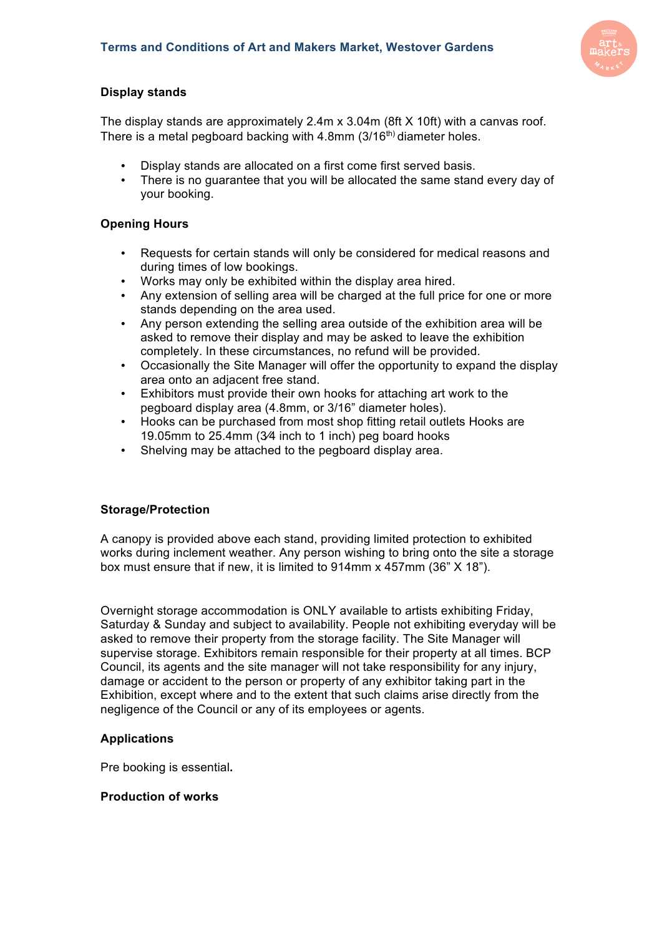

# **Display stands**

The display stands are approximately 2.4m x 3.04m (8ft X 10ft) with a canvas roof. There is a metal pegboard backing with  $4.8$ mm ( $3/16<sup>th</sup>$ ) diameter holes.

- Display stands are allocated on a first come first served basis.
- There is no guarantee that you will be allocated the same stand every day of your booking.

## **Opening Hours**

- Requests for certain stands will only be considered for medical reasons and during times of low bookings.
- Works may only be exhibited within the display area hired.
- Any extension of selling area will be charged at the full price for one or more stands depending on the area used.
- Any person extending the selling area outside of the exhibition area will be asked to remove their display and may be asked to leave the exhibition completely. In these circumstances, no refund will be provided.
- Occasionally the Site Manager will offer the opportunity to expand the display area onto an adjacent free stand.
- Exhibitors must provide their own hooks for attaching art work to the pegboard display area (4.8mm, or 3/16" diameter holes).
- Hooks can be purchased from most shop fitting retail outlets Hooks are 19.05mm to 25.4mm (3⁄4 inch to 1 inch) peg board hooks
- Shelving may be attached to the pegboard display area.

### **Storage/Protection**

A canopy is provided above each stand, providing limited protection to exhibited works during inclement weather. Any person wishing to bring onto the site a storage box must ensure that if new, it is limited to 914mm x 457mm (36" X 18").

Overnight storage accommodation is ONLY available to artists exhibiting Friday, Saturday & Sunday and subject to availability. People not exhibiting everyday will be asked to remove their property from the storage facility. The Site Manager will supervise storage. Exhibitors remain responsible for their property at all times. BCP Council, its agents and the site manager will not take responsibility for any injury, damage or accident to the person or property of any exhibitor taking part in the Exhibition, except where and to the extent that such claims arise directly from the negligence of the Council or any of its employees or agents.

### **Applications**

Pre booking is essential**.** 

### **Production of works**